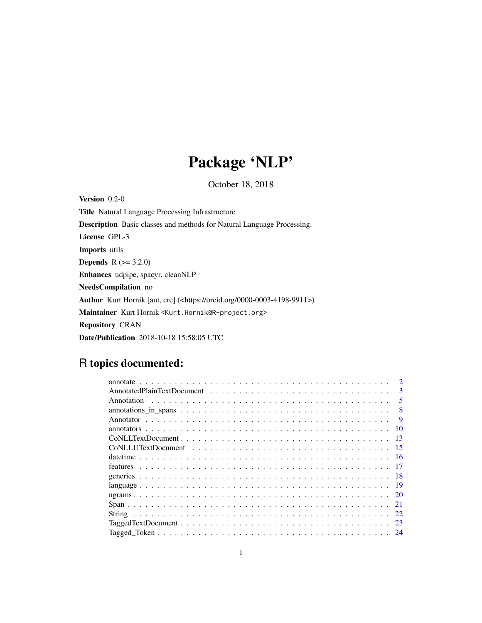# Package 'NLP'

October 18, 2018

<span id="page-0-0"></span>Version 0.2-0 Title Natural Language Processing Infrastructure Description Basic classes and methods for Natural Language Processing. License GPL-3 Imports utils **Depends**  $R$  ( $>= 3.2.0$ ) Enhances udpipe, spacyr, cleanNLP NeedsCompilation no Author Kurt Hornik [aut, cre] (<https://orcid.org/0000-0003-4198-9911>) Maintainer Kurt Hornik <Kurt.Hornik@R-project.org> Repository CRAN Date/Publication 2018-10-18 15:58:05 UTC

## R topics documented:

| $\mathcal{D}$           |
|-------------------------|
| $\mathbf{3}$            |
| $\overline{\mathbf{5}}$ |
|                         |
| -9                      |
| 10                      |
| 13                      |
| - 15                    |
|                         |
|                         |
|                         |
| - 19                    |
|                         |
|                         |
| 22                      |
| -23                     |
|                         |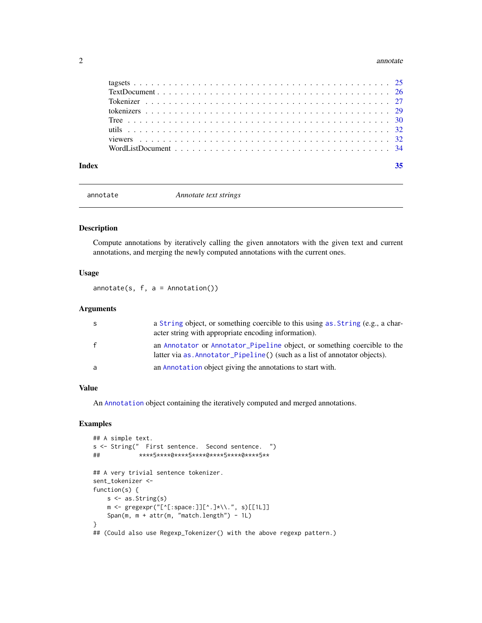#### <span id="page-1-0"></span>2 annotate annotate annotate annotate annotate annotate annotate annotate annotate annotate annotate annotate annotate annotate annotate annotate annotate annotate annotate annotate annotate annotate annotate annotate anno

<span id="page-1-1"></span>

annotate *Annotate text strings*

#### Description

Compute annotations by iteratively calling the given annotators with the given text and current annotations, and merging the newly computed annotations with the current ones.

### Usage

 $annotate(s, f, a = Annotation())$ 

#### Arguments

| -S           | a String object, or something coercible to this using as String (e.g., a char-<br>acter string with appropriate encoding information).                |
|--------------|-------------------------------------------------------------------------------------------------------------------------------------------------------|
| $\mathsf{f}$ | an Annotator or Annotator_Pipeline object, or something coercible to the<br>latter via as Annotator_Pipeline() (such as a list of annotator objects). |
| a            | an Annotation object giving the annotations to start with.                                                                                            |

#### Value

An [Annotation](#page-4-1) object containing the iteratively computed and merged annotations.

```
## A simple text.
s <- String(" First sentence. Second sentence. ")
## ****5****0****5****0****5****0****5**
## A very trivial sentence tokenizer.
sent_tokenizer <-
function(s) {
   s \leftarrow as.String(s)m <- gregexpr("[^[:space:]][^.]*\\.", s)[[1L]]
   Span(m, m + attr(m, "match.length") - 1L)
}
## (Could also use Regexp_Tokenizer() with the above regexp pattern.)
```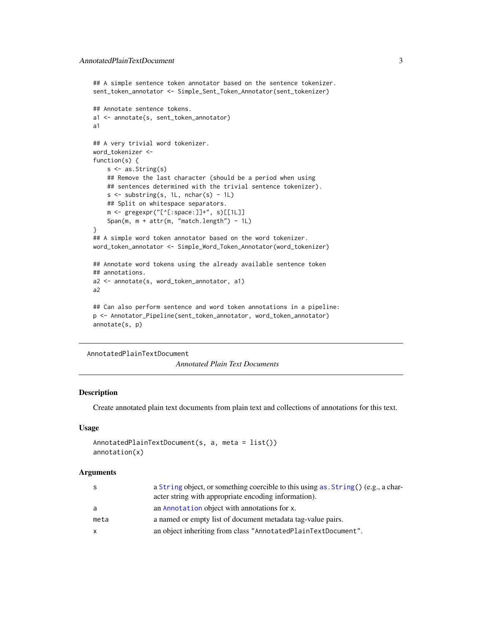```
## A simple sentence token annotator based on the sentence tokenizer.
sent_token_annotator <- Simple_Sent_Token_Annotator(sent_tokenizer)
## Annotate sentence tokens.
a1 <- annotate(s, sent_token_annotator)
a1
## A very trivial word tokenizer.
word_tokenizer <-
function(s) {
    s <- as.String(s)
    ## Remove the last character (should be a period when using
    ## sentences determined with the trivial sentence tokenizer).
    s \leftarrow substring(s, 1L, nchar(s) - 1L)
    ## Split on whitespace separators.
    m <- gregexpr("[^[:space:]]+", s)[[1L]]
    Span(m, m + attr(m, "match.length") - 1L)
}
## A simple word token annotator based on the word tokenizer.
word_token_annotator <- Simple_Word_Token_Annotator(word_tokenizer)
## Annotate word tokens using the already available sentence token
## annotations.
a2 <- annotate(s, word_token_annotator, a1)
a2
## Can also perform sentence and word token annotations in a pipeline:
p <- Annotator_Pipeline(sent_token_annotator, word_token_annotator)
annotate(s, p)
```

```
AnnotatedPlainTextDocument
```
*Annotated Plain Text Documents*

#### Description

Create annotated plain text documents from plain text and collections of annotations for this text.

#### Usage

```
AnnotatedPlainTextDocument(s, a, meta = list())
annotation(x)
```
#### Arguments

|              | a String object, or something coercible to this using as String () (e.g., a char- |
|--------------|-----------------------------------------------------------------------------------|
|              | acter string with appropriate encoding information).                              |
| a            | an Annotation object with annotations for x.                                      |
| meta         | a named or empty list of document metadata tag-value pairs.                       |
| $\mathsf{X}$ | an object inheriting from class "AnnotatedPlainTextDocument".                     |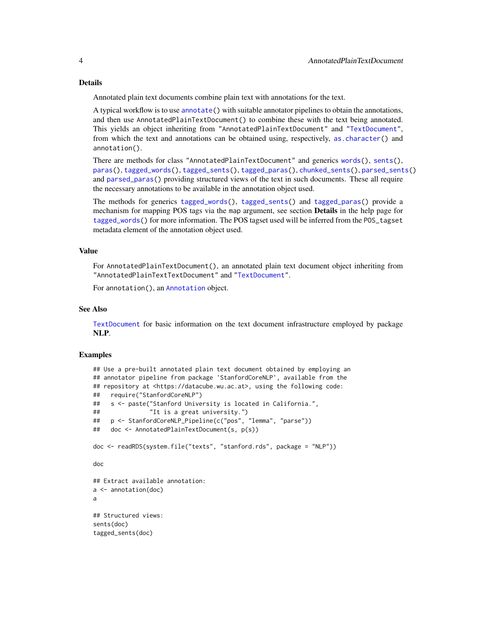#### <span id="page-3-0"></span>Details

Annotated plain text documents combine plain text with annotations for the text.

A typical workflow is to use [annotate\(](#page-1-1)) with suitable annotator pipelines to obtain the annotations, and then use AnnotatedPlainTextDocument() to combine these with the text being annotated. This yields an object inheriting from "AnnotatedPlainTextDocument" and ["TextDocument"](#page-25-1), from which the text and annotations can be obtained using, respectively, [as.character\(](#page-0-0)) and annotation().

There are methods for class "AnnotatedPlainTextDocument" and generics [words\(](#page-31-1)), [sents\(](#page-31-1)), [paras\(](#page-31-1)), [tagged\\_words\(](#page-31-1)), [tagged\\_sents\(](#page-31-1)), [tagged\\_paras\(](#page-31-1)), [chunked\\_sents\(](#page-31-1)), [parsed\\_sents\(](#page-31-1)) and [parsed\\_paras\(](#page-31-1)) providing structured views of the text in such documents. These all require the necessary annotations to be available in the annotation object used.

The methods for generics [tagged\\_words\(](#page-31-1)), [tagged\\_sents\(](#page-31-1)) and [tagged\\_paras\(](#page-31-1)) provide a mechanism for mapping POS tags via the map argument, see section **Details** in the help page for [tagged\\_words\(](#page-31-1)) for more information. The POS tagset used will be inferred from the POS\_tagset metadata element of the annotation object used.

#### Value

For AnnotatedPlainTextDocument(), an annotated plain text document object inheriting from "AnnotatedPlainTextTextDocument" and ["TextDocument"](#page-25-1).

For annotation(), an [Annotation](#page-4-1) object.

#### See Also

[TextDocument](#page-25-1) for basic information on the text document infrastructure employed by package NLP.

```
## Use a pre-built annotated plain text document obtained by employing an
## annotator pipeline from package 'StanfordCoreNLP', available from the
## repository at <https://datacube.wu.ac.at>, using the following code:
## require("StanfordCoreNLP")
## s <- paste("Stanford University is located in California.",
## "It is a great university.")
## p <- StanfordCoreNLP_Pipeline(c("pos", "lemma", "parse"))
## doc <- AnnotatedPlainTextDocument(s, p(s))
doc <- readRDS(system.file("texts", "stanford.rds", package = "NLP"))
doc
## Extract available annotation:
a <- annotation(doc)
a
## Structured views:
sents(doc)
tagged_sents(doc)
```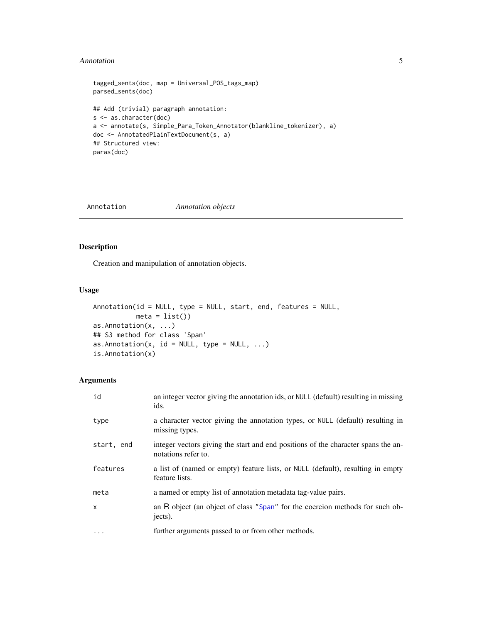#### <span id="page-4-0"></span>Annotation 5

```
tagged_sents(doc, map = Universal_POS_tags_map)
parsed_sents(doc)
## Add (trivial) paragraph annotation:
s <- as.character(doc)
a <- annotate(s, Simple_Para_Token_Annotator(blankline_tokenizer), a)
doc <- AnnotatedPlainTextDocument(s, a)
## Structured view:
paras(doc)
```
<span id="page-4-1"></span>

Annotation *Annotation objects*

### <span id="page-4-2"></span>Description

Creation and manipulation of annotation objects.

### Usage

```
Annotation(id = NULL, type = NULL, start, end, features = NULL,
           meta = list()as.Annotation(x, ...)
## S3 method for class 'Span'
as.Annotation(x, id = NULL, type = NULL, \ldots)
is.Annotation(x)
```
#### Arguments

| id         | an integer vector giving the annotation ids, or NULL (default) resulting in missing<br>ids.              |
|------------|----------------------------------------------------------------------------------------------------------|
| type       | a character vector giving the annotation types, or NULL (default) resulting in<br>missing types.         |
| start, end | integer vectors giving the start and end positions of the character spans the an-<br>notations refer to. |
| features   | a list of (named or empty) feature lists, or NULL (default), resulting in empty<br>feature lists.        |
| meta       | a named or empty list of annotation metadata tag-value pairs.                                            |
| $\times$   | an R object (an object of class "Span" for the coercion methods for such ob-<br>jects).                  |
| $\cdots$   | further arguments passed to or from other methods.                                                       |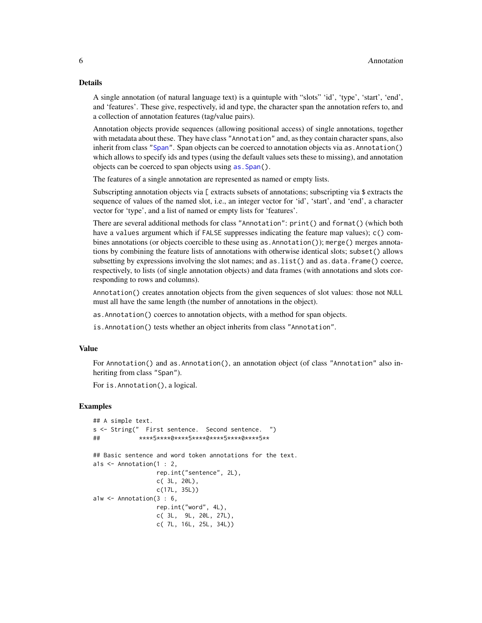#### <span id="page-5-0"></span>Details

A single annotation (of natural language text) is a quintuple with "slots" 'id', 'type', 'start', 'end', and 'features'. These give, respectively, id and type, the character span the annotation refers to, and a collection of annotation features (tag/value pairs).

Annotation objects provide sequences (allowing positional access) of single annotations, together with metadata about these. They have class "Annotation" and, as they contain character spans, also inherit from class ["Span"](#page-20-1). Span objects can be coerced to annotation objects via as. Annotation() which allows to specify ids and types (using the default values sets these to missing), and annotation objects can be coerced to span objects using as. Span().

The features of a single annotation are represented as named or empty lists.

Subscripting annotation objects via [ extracts subsets of annotations; subscripting via \$ extracts the sequence of values of the named slot, i.e., an integer vector for 'id', 'start', and 'end', a character vector for 'type', and a list of named or empty lists for 'features'.

There are several additional methods for class "Annotation": print() and format() (which both have a values argument which if FALSE suppresses indicating the feature map values); c() combines annotations (or objects coercible to these using as.Annotation()); merge() merges annotations by combining the feature lists of annotations with otherwise identical slots; subset() allows subsetting by expressions involving the slot names; and as. list() and as. data. frame() coerce, respectively, to lists (of single annotation objects) and data frames (with annotations and slots corresponding to rows and columns).

Annotation() creates annotation objects from the given sequences of slot values: those not NULL must all have the same length (the number of annotations in the object).

as.Annotation() coerces to annotation objects, with a method for span objects.

is.Annotation() tests whether an object inherits from class "Annotation".

#### Value

For Annotation() and as.Annotation(), an annotation object (of class "Annotation" also inheriting from class "Span").

For is.Annotation(), a logical.

```
## A simple text.
s <- String(" First sentence. Second sentence. ")
## ****5****0****5****0****5****0****5**
## Basic sentence and word token annotations for the text.
a1s <- Annotation(1 : 2,
                 rep.int("sentence", 2L),
                 c( 3L, 20L),
                 c(17L, 35L))
a1w <- Annotation(3 : 6,
                 rep.int("word", 4L),
                 c( 3L, 9L, 20L, 27L),
                 c( 7L, 16L, 25L, 34L))
```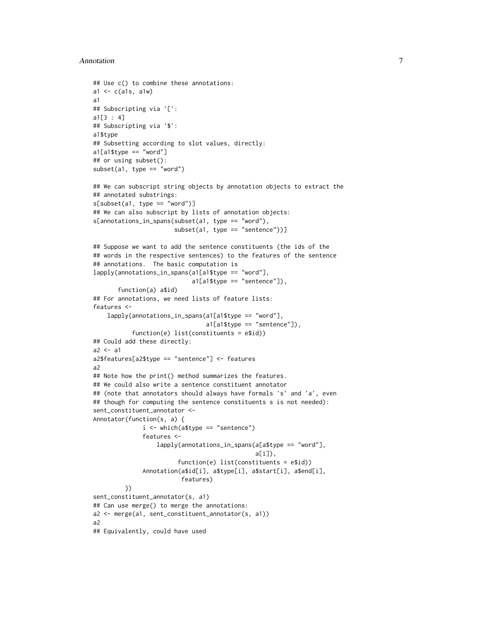#### Annotation 7

```
## Use c() to combine these annotations:
a1 \leftarrow c(a1s, a1w)a1
## Subscripting via '[':
a1[3 : 4]
## Subscripting via '$':
a1$type
## Subsetting according to slot values, directly:
a1[a1$type == "word"]## or using subset():
subset(a1, type == "word")## We can subscript string objects by annotation objects to extract the
## annotated substrings:
s[subset(a1, type == "word")]
## We can also subscript by lists of annotation objects:
s[annotations_in_spans(subset(a1, type == "word"),
                       subset(a1, type == "sentence"))]
## Suppose we want to add the sentence constituents (the ids of the
## words in the respective sentences) to the features of the sentence
## annotations. The basic computation is
lapply(annotations_in_spans(a1[a1$type == "word"],
                            a1[a1$type == "sentence"]),
       function(a) a$id)
## For annotations, we need lists of feature lists:
features <-
    lapply(annotations_in_spans(a1[a1$type == "word"],
                                a1[a1$type == "sentence"]),
           function(e) list(constituents = e$id))
## Could add these directly:
a2 < -a1a2$features[a2$type == "sentence"] <- features
a2
## Note how the print() method summarizes the features.
## We could also write a sentence constituent annotator
## (note that annotators should always have formals 's' and 'a', even
## though for computing the sentence constituents s is not needed):
sent_constituent_annotator <-
Annotator(function(s, a) {
              i \leq which(a$type == "sentence")
              features <-
                  lapply(annotations_in_spans(a[a$type == "word"],
                                               a[i]),
                        function(e) list(constituents = e$id))
              Annotation(a$id[i], a$type[i], a$start[i], a$end[i],
                         features)
         })
sent_constituent_annotator(s, a1)
## Can use merge() to merge the annotations:
a2 <- merge(a1, sent_constituent_annotator(s, a1))
a2
## Equivalently, could have used
```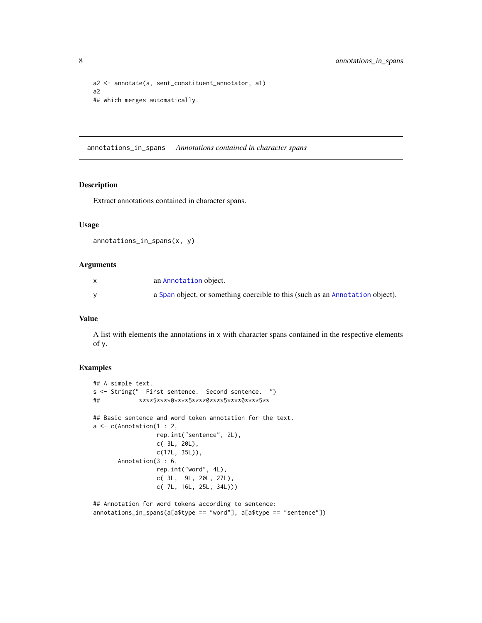```
a2 <- annotate(s, sent_constituent_annotator, a1)
a2
## which merges automatically.
```
annotations\_in\_spans *Annotations contained in character spans*

#### Description

Extract annotations contained in character spans.

#### Usage

```
annotations_in_spans(x, y)
```
#### Arguments

| an Annotation object.                                                         |
|-------------------------------------------------------------------------------|
| a Span object, or something coercible to this (such as an Annotation object). |

#### Value

A list with elements the annotations in x with character spans contained in the respective elements of y.

```
## A simple text.
s <- String(" First sentence. Second sentence. ")
## ****5****0****5****0****5****0****5**
## Basic sentence and word token annotation for the text.
a \leftarrow c(Annotation(1 : 2,
                  rep.int("sentence", 2L),
                 c( 3L, 20L),
                 c(17L, 35L)),
       Annotation(3 : 6,
                  rep.int("word", 4L),
                  c( 3L, 9L, 20L, 27L),
                 c( 7L, 16L, 25L, 34L)))
```

```
## Annotation for word tokens according to sentence:
annotations_in_spans(a[a$type == "word"], a[a$type == "sentence"])
```
<span id="page-7-0"></span>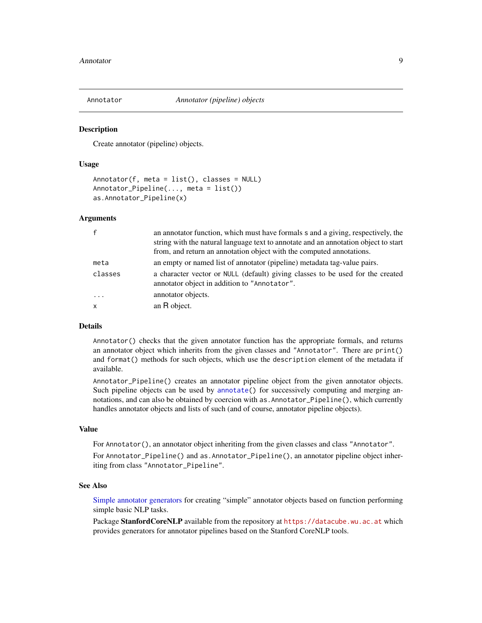<span id="page-8-1"></span><span id="page-8-0"></span>

#### <span id="page-8-2"></span>Description

Create annotator (pipeline) objects.

#### Usage

```
Annotator(f, meta = list(), classes = NULL)
Annotator_Pipeline(..., meta = list())
as.Annotator_Pipeline(x)
```
#### Arguments

| an annotator function, which must have formals s and a giving, respectively, the<br>string with the natural language text to annotate and an annotation object to start<br>from, and return an annotation object with the computed annotations. |
|-------------------------------------------------------------------------------------------------------------------------------------------------------------------------------------------------------------------------------------------------|
| an empty or named list of annotator (pipeline) metadata tag-value pairs.                                                                                                                                                                        |
| a character vector or NULL (default) giving classes to be used for the created<br>annotator object in addition to "Annotator".                                                                                                                  |
| annotator objects.                                                                                                                                                                                                                              |
| an R object.                                                                                                                                                                                                                                    |
|                                                                                                                                                                                                                                                 |

#### Details

Annotator() checks that the given annotator function has the appropriate formals, and returns an annotator object which inherits from the given classes and "Annotator". There are print() and format() methods for such objects, which use the description element of the metadata if available.

Annotator\_Pipeline() creates an annotator pipeline object from the given annotator objects. Such pipeline objects can be used by [annotate\(](#page-1-1)) for successively computing and merging annotations, and can also be obtained by coercion with as.Annotator\_Pipeline(), which currently handles annotator objects and lists of such (and of course, annotator pipeline objects).

#### Value

For Annotator(), an annotator object inheriting from the given classes and class "Annotator".

For Annotator\_Pipeline() and as.Annotator\_Pipeline(), an annotator pipeline object inheriting from class "Annotator\_Pipeline".

#### See Also

[Simple annotator generators](#page-9-1) for creating "simple" annotator objects based on function performing simple basic NLP tasks.

Package Stanford CoreNLP available from the repository at <https://datacube.wu.ac.at> which provides generators for annotator pipelines based on the Stanford CoreNLP tools.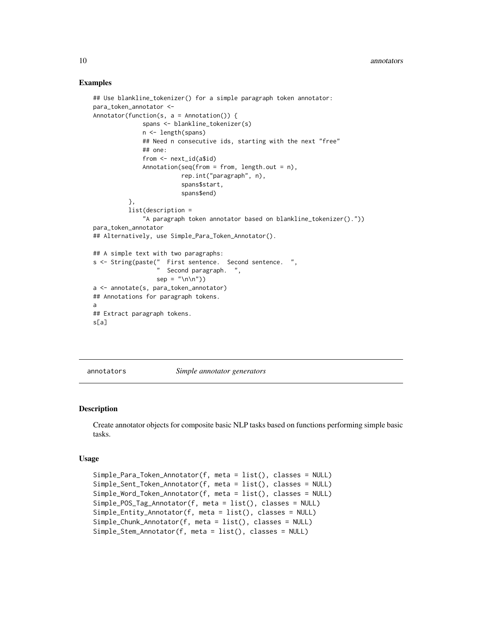#### Examples

```
## Use blankline_tokenizer() for a simple paragraph token annotator:
para_token_annotator <-
Annotator(function(s, a = Annotation()) {
             spans <- blankline_tokenizer(s)
              n <- length(spans)
              ## Need n consecutive ids, starting with the next "free"
              ## one:
              from <- next_id(a$id)
             Annotation(seq(from = from, length.out = n),
                         rep.int("paragraph", n),
                         spans$start,
                         spans$end)
          },
         list(description =
              "A paragraph token annotator based on blankline_tokenizer()."))
para_token_annotator
## Alternatively, use Simple_Para_Token_Annotator().
## A simple text with two paragraphs:
s <- String(paste(" First sentence. Second sentence. ",
                    Second paragraph. ",
                  sep = "n\nu")a <- annotate(s, para_token_annotator)
## Annotations for paragraph tokens.
a
## Extract paragraph tokens.
s[a]
```
annotators *Simple annotator generators*

#### <span id="page-9-1"></span>**Description**

Create annotator objects for composite basic NLP tasks based on functions performing simple basic tasks.

#### Usage

```
Simple_Para_Token_Annotator(f, meta = list(), classes = NULL)
Simple_Sent_Token_Annotator(f, meta = list(), classes = NULL)
Simple_Word_Token_Annotator(f, meta = list(), classes = NULL)
Simple_POS_Tag_Annotator(f, meta = list(), classes = NULL)
Simple_Entity_Annotator(f, meta = list(), classes = NULL)
Simple_Chunk_Annotator(f, meta = list(), classes = NULL)
Simple_Stem_Annotator(f, meta = list(), classes = NULL)
```
<span id="page-9-0"></span>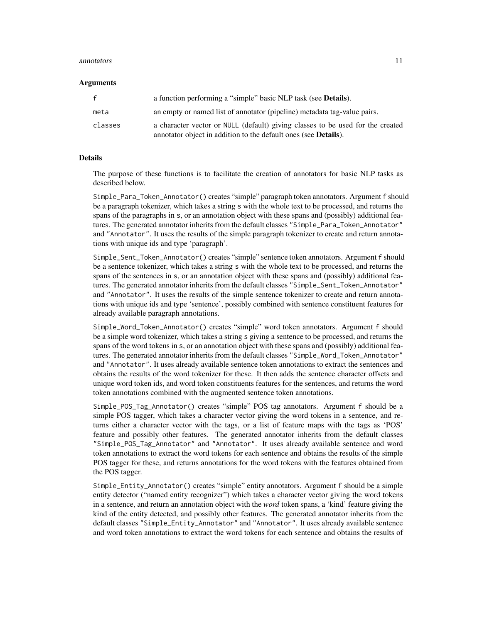#### annotators and the contract of the contract of the contract of the contract of the contract of the contract of the contract of the contract of the contract of the contract of the contract of the contract of the contract of

#### Arguments

| f       | a function performing a "simple" basic NLP task (see <b>Details</b> ).                                                                                    |
|---------|-----------------------------------------------------------------------------------------------------------------------------------------------------------|
| meta    | an empty or named list of annotator (pipeline) metadata tag-value pairs.                                                                                  |
| classes | a character vector or NULL (default) giving classes to be used for the created<br>annotator object in addition to the default ones (see <b>Details</b> ). |

#### **Details**

The purpose of these functions is to facilitate the creation of annotators for basic NLP tasks as described below.

Simple\_Para\_Token\_Annotator() creates "simple" paragraph token annotators. Argument f should be a paragraph tokenizer, which takes a string s with the whole text to be processed, and returns the spans of the paragraphs in s, or an annotation object with these spans and (possibly) additional features. The generated annotator inherits from the default classes "Simple\_Para\_Token\_Annotator" and "Annotator". It uses the results of the simple paragraph tokenizer to create and return annotations with unique ids and type 'paragraph'.

Simple\_Sent\_Token\_Annotator() creates "simple" sentence token annotators. Argument f should be a sentence tokenizer, which takes a string s with the whole text to be processed, and returns the spans of the sentences in s, or an annotation object with these spans and (possibly) additional features. The generated annotator inherits from the default classes "Simple\_Sent\_Token\_Annotator" and "Annotator". It uses the results of the simple sentence tokenizer to create and return annotations with unique ids and type 'sentence', possibly combined with sentence constituent features for already available paragraph annotations.

Simple\_Word\_Token\_Annotator() creates "simple" word token annotators. Argument f should be a simple word tokenizer, which takes a string s giving a sentence to be processed, and returns the spans of the word tokens in s, or an annotation object with these spans and (possibly) additional features. The generated annotator inherits from the default classes "Simple\_Word\_Token\_Annotator" and "Annotator". It uses already available sentence token annotations to extract the sentences and obtains the results of the word tokenizer for these. It then adds the sentence character offsets and unique word token ids, and word token constituents features for the sentences, and returns the word token annotations combined with the augmented sentence token annotations.

Simple\_POS\_Tag\_Annotator() creates "simple" POS tag annotators. Argument f should be a simple POS tagger, which takes a character vector giving the word tokens in a sentence, and returns either a character vector with the tags, or a list of feature maps with the tags as 'POS' feature and possibly other features. The generated annotator inherits from the default classes "Simple\_POS\_Tag\_Annotator" and "Annotator". It uses already available sentence and word token annotations to extract the word tokens for each sentence and obtains the results of the simple POS tagger for these, and returns annotations for the word tokens with the features obtained from the POS tagger.

Simple\_Entity\_Annotator() creates "simple" entity annotators. Argument f should be a simple entity detector ("named entity recognizer") which takes a character vector giving the word tokens in a sentence, and return an annotation object with the *word* token spans, a 'kind' feature giving the kind of the entity detected, and possibly other features. The generated annotator inherits from the default classes "Simple\_Entity\_Annotator" and "Annotator". It uses already available sentence and word token annotations to extract the word tokens for each sentence and obtains the results of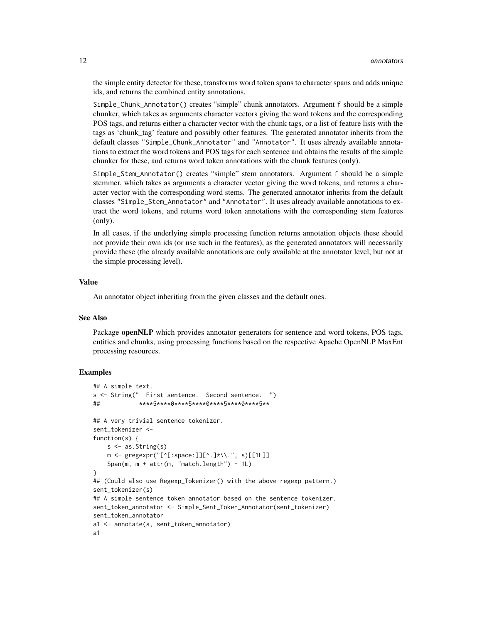the simple entity detector for these, transforms word token spans to character spans and adds unique ids, and returns the combined entity annotations.

Simple\_Chunk\_Annotator() creates "simple" chunk annotators. Argument f should be a simple chunker, which takes as arguments character vectors giving the word tokens and the corresponding POS tags, and returns either a character vector with the chunk tags, or a list of feature lists with the tags as 'chunk\_tag' feature and possibly other features. The generated annotator inherits from the default classes "Simple\_Chunk\_Annotator" and "Annotator". It uses already available annotations to extract the word tokens and POS tags for each sentence and obtains the results of the simple chunker for these, and returns word token annotations with the chunk features (only).

Simple\_Stem\_Annotator() creates "simple" stem annotators. Argument f should be a simple stemmer, which takes as arguments a character vector giving the word tokens, and returns a character vector with the corresponding word stems. The generated annotator inherits from the default classes "Simple\_Stem\_Annotator" and "Annotator". It uses already available annotations to extract the word tokens, and returns word token annotations with the corresponding stem features (only).

In all cases, if the underlying simple processing function returns annotation objects these should not provide their own ids (or use such in the features), as the generated annotators will necessarily provide these (the already available annotations are only available at the annotator level, but not at the simple processing level).

#### Value

An annotator object inheriting from the given classes and the default ones.

#### See Also

Package openNLP which provides annotator generators for sentence and word tokens, POS tags, entities and chunks, using processing functions based on the respective Apache OpenNLP MaxEnt processing resources.

```
## A simple text.
s <- String(" First sentence. Second sentence. ")
## ****5****0****5****0****5****0****5**
## A very trivial sentence tokenizer.
sent_tokenizer <-
function(s) {
   s \leftarrow as.String(s)m \leq - gregexpr("[^[:space:]][^.]*\\.", s)[[1L]]
    Span(m, m + attr(m, 'match.length') - 1L)}
## (Could also use Regexp_Tokenizer() with the above regexp pattern.)
sent tokenizer(s)
## A simple sentence token annotator based on the sentence tokenizer.
sent_token_annotator <- Simple_Sent_Token_Annotator(sent_tokenizer)
sent_token_annotator
a1 <- annotate(s, sent_token_annotator)
a1
```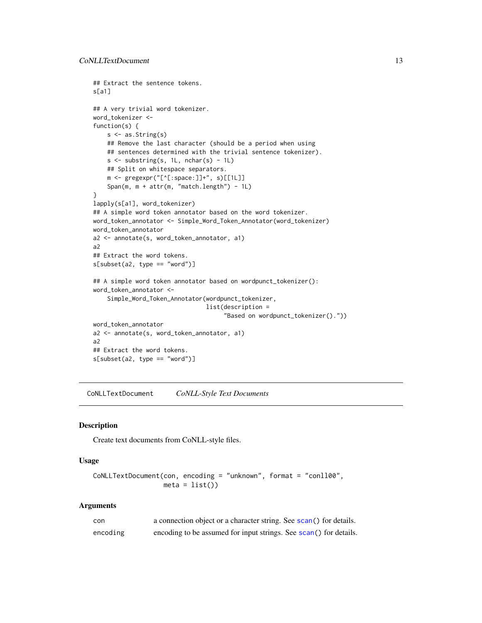```
## Extract the sentence tokens.
s[a1]
## A very trivial word tokenizer.
word_tokenizer <-
function(s) {
   s <- as.String(s)
   ## Remove the last character (should be a period when using
   ## sentences determined with the trivial sentence tokenizer).
   s \leftarrow substring(s, 1L, nchar(s) - 1L)
    ## Split on whitespace separators.
   m <- gregexpr("[^[:space:]]+", s)[[1L]]
    Span(m, m + attr(m, 'match.length') - 1L)}
lapply(s[a1], word_tokenizer)
## A simple word token annotator based on the word tokenizer.
word_token_annotator <- Simple_Word_Token_Annotator(word_tokenizer)
word_token_annotator
a2 <- annotate(s, word_token_annotator, a1)
a2
## Extract the word tokens.
s[subset(a2, type == "word")## A simple word token annotator based on wordpunct_tokenizer():
word_token_annotator <-
    Simple_Word_Token_Annotator(wordpunct_tokenizer,
                                list(description =
                                      "Based on wordpunct_tokenizer()."))
word_token_annotator
a2 <- annotate(s, word_token_annotator, a1)
a2
## Extract the word tokens.
s[subset(a2, type == "word")
```
<span id="page-12-1"></span>CoNLLTextDocument *CoNLL-Style Text Documents*

#### Description

Create text documents from CoNLL-style files.

#### Usage

```
CoNLLTextDocument(con, encoding = "unknown", format = "conll00",
                 meta = list()
```
#### Arguments

| con      | a connection object or a character string. See scan() for details. |
|----------|--------------------------------------------------------------------|
| encoding | encoding to be assumed for input strings. See scan() for details.  |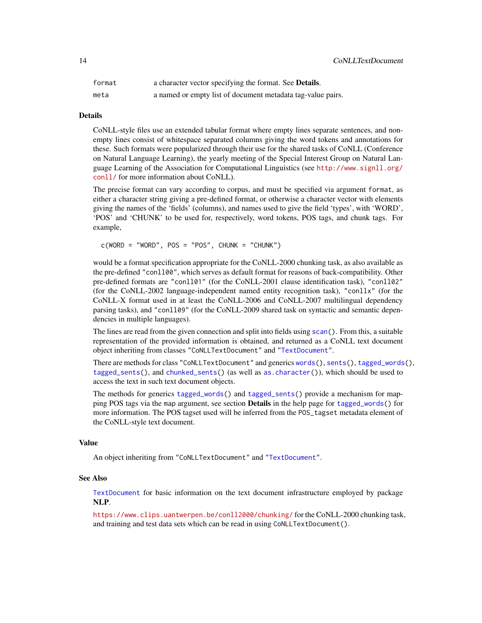<span id="page-13-0"></span>

| format | a character vector specifying the format. See Details.      |
|--------|-------------------------------------------------------------|
| meta   | a named or empty list of document metadata tag-value pairs. |

#### Details

CoNLL-style files use an extended tabular format where empty lines separate sentences, and nonempty lines consist of whitespace separated columns giving the word tokens and annotations for these. Such formats were popularized through their use for the shared tasks of CoNLL (Conference on Natural Language Learning), the yearly meeting of the Special Interest Group on Natural Language Learning of the Association for Computational Linguistics (see [http://www.signll.org/](http://www.signll.org/conll/) [conll/](http://www.signll.org/conll/) for more information about CoNLL).

The precise format can vary according to corpus, and must be specified via argument format, as either a character string giving a pre-defined format, or otherwise a character vector with elements giving the names of the 'fields' (columns), and names used to give the field 'types', with 'WORD', 'POS' and 'CHUNK' to be used for, respectively, word tokens, POS tags, and chunk tags. For example,

 $c(WORD = "WORD", POS = "POS", CHUNK = "CHUNK")$ 

would be a format specification appropriate for the CoNLL-2000 chunking task, as also available as the pre-defined "conll00", which serves as default format for reasons of back-compatibility. Other pre-defined formats are "conll01" (for the CoNLL-2001 clause identification task), "conll02" (for the CoNLL-2002 language-independent named entity recognition task), "conllx" (for the CoNLL-X format used in at least the CoNLL-2006 and CoNLL-2007 multilingual dependency parsing tasks), and "conll09" (for the CoNLL-2009 shared task on syntactic and semantic dependencies in multiple languages).

The lines are read from the given connection and split into fields using [scan\(](#page-0-0)). From this, a suitable representation of the provided information is obtained, and returned as a CoNLL text document object inheriting from classes "CoNLLTextDocument" and ["TextDocument"](#page-25-1).

There are methods for class "CoNLLTextDocument" and generics [words\(](#page-31-1)), [sents\(](#page-31-1)), [tagged\\_words\(](#page-31-1)), [tagged\\_sents\(](#page-31-1)), and [chunked\\_sents\(](#page-31-1)) (as well as [as.character\(](#page-0-0))), which should be used to access the text in such text document objects.

The methods for generics [tagged\\_words\(](#page-31-1)) and [tagged\\_sents\(](#page-31-1)) provide a mechanism for mapping POS tags via the map argument, see section **Details** in the help page for [tagged\\_words\(](#page-31-1)) for more information. The POS tagset used will be inferred from the POS\_tagset metadata element of the CoNLL-style text document.

#### Value

An object inheriting from "CoNLLTextDocument" and ["TextDocument"](#page-25-1).

#### See Also

[TextDocument](#page-25-1) for basic information on the text document infrastructure employed by package NLP.

<https://www.clips.uantwerpen.be/conll2000/chunking/> for the CoNLL-2000 chunking task, and training and test data sets which can be read in using CoNLLTextDocument().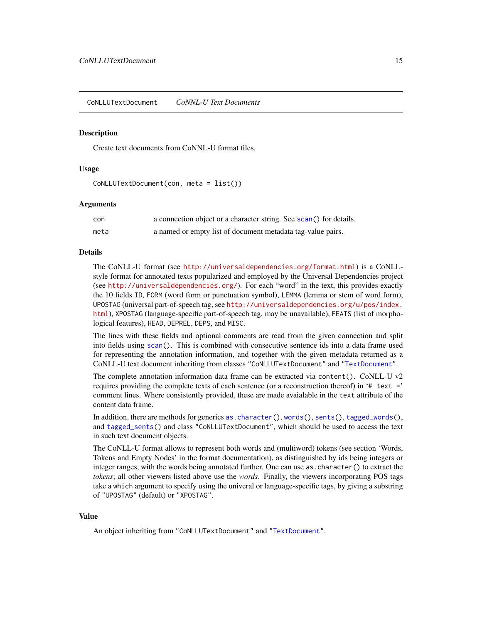<span id="page-14-1"></span><span id="page-14-0"></span>CoNLLUTextDocument *CoNNL-U Text Documents*

#### **Description**

Create text documents from CoNNL-U format files.

#### Usage

CoNLLUTextDocument(con, meta = list())

#### **Arguments**

| con  | a connection object or a character string. See scan() for details. |
|------|--------------------------------------------------------------------|
| meta | a named or empty list of document metadata tag-value pairs.        |

#### Details

The CoNLL-U format (see <http://universaldependencies.org/format.html>) is a CoNLLstyle format for annotated texts popularized and employed by the Universal Dependencies project (see <http://universaldependencies.org/>). For each "word" in the text, this provides exactly the 10 fields ID, FORM (word form or punctuation symbol), LEMMA (lemma or stem of word form), UPOSTAG (universal part-of-speech tag, see [http://universaldependencies.org/u/pos/index.](http://universaldependencies.org/u/pos/index.html) [html](http://universaldependencies.org/u/pos/index.html)), XPOSTAG (language-specific part-of-speech tag, may be unavailable), FEATS (list of morphological features), HEAD, DEPREL, DEPS, and MISC.

The lines with these fields and optional comments are read from the given connection and split into fields using [scan\(](#page-0-0)). This is combined with consecutive sentence ids into a data frame used for representing the annotation information, and together with the given metadata returned as a CoNLL-U text document inheriting from classes "CoNLLUTextDocument" and ["TextDocument"](#page-25-1).

The complete annotation information data frame can be extracted via content(). CoNLL-U v2 requires providing the complete texts of each sentence (or a reconstruction thereof) in '# text =' comment lines. Where consistently provided, these are made avaialable in the text attribute of the content data frame.

In addition, there are methods for generics [as.character\(](#page-0-0)), [words\(](#page-31-1)), [sents\(](#page-31-1)), [tagged\\_words\(](#page-31-1)), and [tagged\\_sents\(](#page-31-1)) and class "CoNLLUTextDocument", which should be used to access the text in such text document objects.

The CoNLL-U format allows to represent both words and (multiword) tokens (see section 'Words, Tokens and Empty Nodes' in the format documentation), as distinguished by ids being integers or integer ranges, with the words being annotated further. One can use as.character() to extract the *tokens*; all other viewers listed above use the *words*. Finally, the viewers incorporating POS tags take a which argument to specify using the univeral or language-specific tags, by giving a substring of "UPOSTAG" (default) or "XPOSTAG".

#### Value

An object inheriting from "CoNLLUTextDocument" and ["TextDocument"](#page-25-1).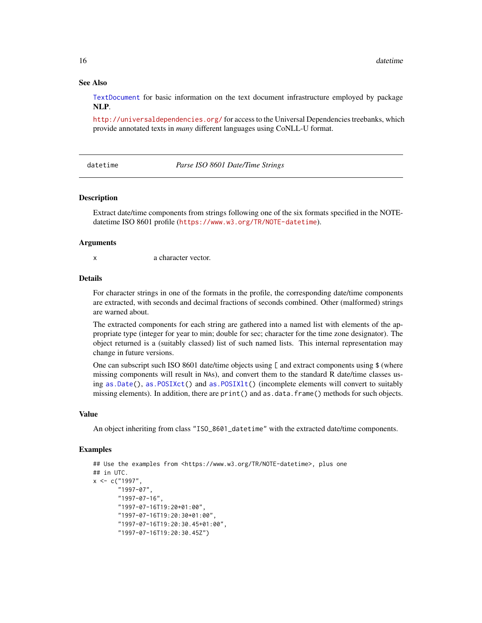#### See Also

[TextDocument](#page-25-1) for basic information on the text document infrastructure employed by package NLP.

<http://universaldependencies.org/> for access to the Universal Dependencies treebanks, which provide annotated texts in *many* different languages using CoNLL-U format.

datetime *Parse ISO 8601 Date/Time Strings*

#### Description

Extract date/time components from strings following one of the six formats specified in the NOTEdatetime ISO 8601 profile (<https://www.w3.org/TR/NOTE-datetime>).

#### Arguments

x a character vector.

#### Details

For character strings in one of the formats in the profile, the corresponding date/time components are extracted, with seconds and decimal fractions of seconds combined. Other (malformed) strings are warned about.

The extracted components for each string are gathered into a named list with elements of the appropriate type (integer for year to min; double for sec; character for the time zone designator). The object returned is a (suitably classed) list of such named lists. This internal representation may change in future versions.

One can subscript such ISO 8601 date/time objects using  $\lceil$  and extract components using \$ (where missing components will result in NAs), and convert them to the standard R date/time classes using [as.Date\(](#page-0-0)), [as.POSIXct\(](#page-0-0)) and [as.POSIXlt\(](#page-0-0)) (incomplete elements will convert to suitably missing elements). In addition, there are print() and as.data.frame() methods for such objects.

#### Value

An object inheriting from class "ISO\_8601\_datetime" with the extracted date/time components.

```
## Use the examples from <https://www.w3.org/TR/NOTE-datetime>, plus one
## in UTC.
x < -c ("1997",
       "1997-07",
       "1997-07-16",
       "1997-07-16T19:20+01:00",
       "1997-07-16T19:20:30+01:00",
       "1997-07-16T19:20:30.45+01:00",
       "1997-07-16T19:20:30.45Z")
```
<span id="page-15-0"></span>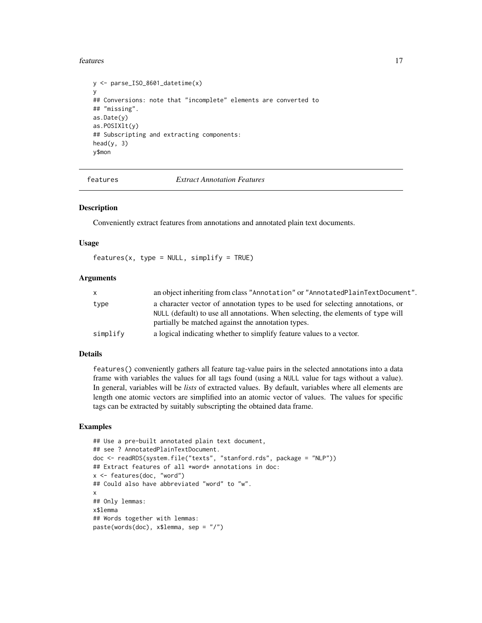#### <span id="page-16-0"></span>features and the state of the state of the state of the state of the state of the state of the state of the state of the state of the state of the state of the state of the state of the state of the state of the state of t

```
y <- parse_ISO_8601_datetime(x)
y
## Conversions: note that "incomplete" elements are converted to
## "missing".
as.Date(y)
as.POSIXlt(y)
## Subscripting and extracting components:
head(y, 3)y$mon
```
features *Extract Annotation Features*

#### Description

Conveniently extract features from annotations and annotated plain text documents.

#### Usage

 $features(x, type = NULL, simplify = TRUE)$ 

#### **Arguments**

| X.       | an object inheriting from class "Annotation" or "AnnotatedPlainTextDocument".                                                                                                                                             |
|----------|---------------------------------------------------------------------------------------------------------------------------------------------------------------------------------------------------------------------------|
| type     | a character vector of annotation types to be used for selecting annotations, or<br>NULL (default) to use all annotations. When selecting, the elements of type will<br>partially be matched against the annotation types. |
| simplify | a logical indicating whether to simplify feature values to a vector.                                                                                                                                                      |

#### Details

features() conveniently gathers all feature tag-value pairs in the selected annotations into a data frame with variables the values for all tags found (using a NULL value for tags without a value). In general, variables will be *lists* of extracted values. By default, variables where all elements are length one atomic vectors are simplified into an atomic vector of values. The values for specific tags can be extracted by suitably subscripting the obtained data frame.

```
## Use a pre-built annotated plain text document,
## see ? AnnotatedPlainTextDocument.
doc <- readRDS(system.file("texts", "stanford.rds", package = "NLP"))
## Extract features of all *word* annotations in doc:
x <- features(doc, "word")
## Could also have abbreviated "word" to "w".
x
## Only lemmas:
x$lemma
## Words together with lemmas:
paste(words(doc), x$lemma, sep = "/")
```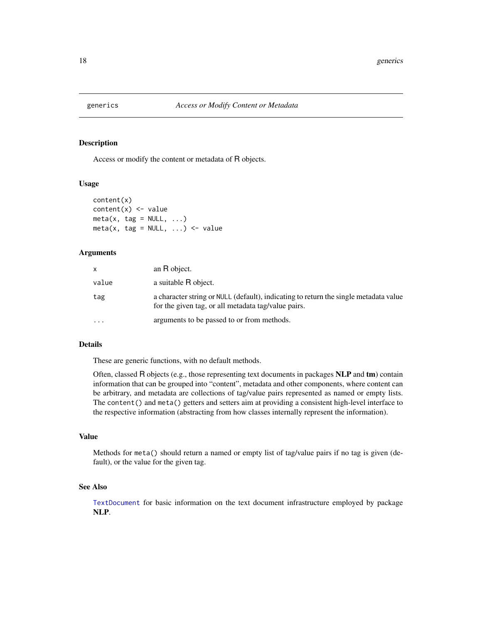<span id="page-17-0"></span>

#### <span id="page-17-1"></span>Description

Access or modify the content or metadata of R objects.

#### Usage

```
content(x)
content(x) \leq valuemeta(x, tag = NULL, ...)meta(x, tag = NULL, ...) <- value
```
#### Arguments

| x        | an R object.                                                                                                                                |
|----------|---------------------------------------------------------------------------------------------------------------------------------------------|
| value    | a suitable R object.                                                                                                                        |
| tag      | a character string or NULL (default), indicating to return the single metadata value<br>for the given tag, or all metadata tag/value pairs. |
| $\cdots$ | arguments to be passed to or from methods.                                                                                                  |

#### Details

These are generic functions, with no default methods.

Often, classed R objects (e.g., those representing text documents in packages NLP and tm) contain information that can be grouped into "content", metadata and other components, where content can be arbitrary, and metadata are collections of tag/value pairs represented as named or empty lists. The content() and meta() getters and setters aim at providing a consistent high-level interface to the respective information (abstracting from how classes internally represent the information).

## Value

Methods for meta() should return a named or empty list of tag/value pairs if no tag is given (default), or the value for the given tag.

#### See Also

[TextDocument](#page-25-1) for basic information on the text document infrastructure employed by package NLP.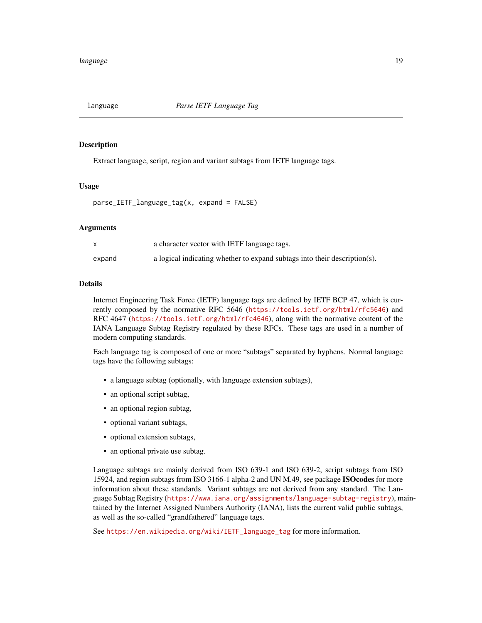<span id="page-18-0"></span>

#### **Description**

Extract language, script, region and variant subtags from IETF language tags.

#### Usage

```
parse_IETF_language_tag(x, expand = FALSE)
```
#### Arguments

|        | a character vector with IETF language tags.                               |
|--------|---------------------------------------------------------------------------|
| expand | a logical indicating whether to expand subtags into their description(s). |

#### Details

Internet Engineering Task Force (IETF) language tags are defined by IETF BCP 47, which is currently composed by the normative RFC 5646 (<https://tools.ietf.org/html/rfc5646>) and RFC 4647 (<https://tools.ietf.org/html/rfc4646>), along with the normative content of the IANA Language Subtag Registry regulated by these RFCs. These tags are used in a number of modern computing standards.

Each language tag is composed of one or more "subtags" separated by hyphens. Normal language tags have the following subtags:

- a language subtag (optionally, with language extension subtags),
- an optional script subtag,
- an optional region subtag,
- optional variant subtags,
- optional extension subtags,
- an optional private use subtag.

Language subtags are mainly derived from ISO 639-1 and ISO 639-2, script subtags from ISO 15924, and region subtags from ISO 3166-1 alpha-2 and UN M.49, see package ISOcodes for more information about these standards. Variant subtags are not derived from any standard. The Language Subtag Registry (<https://www.iana.org/assignments/language-subtag-registry>), maintained by the Internet Assigned Numbers Authority (IANA), lists the current valid public subtags, as well as the so-called "grandfathered" language tags.

See [https://en.wikipedia.org/wiki/IETF\\_language\\_tag](https://en.wikipedia.org/wiki/IETF_language_tag) for more information.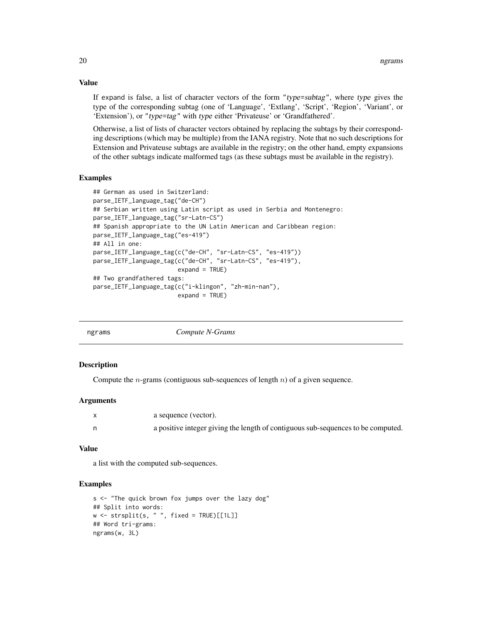If expand is false, a list of character vectors of the form "type=subtag", where type gives the type of the corresponding subtag (one of 'Language', 'Extlang', 'Script', 'Region', 'Variant', or 'Extension'), or "type=tag" with type either 'Privateuse' or 'Grandfathered'.

Otherwise, a list of lists of character vectors obtained by replacing the subtags by their corresponding descriptions (which may be multiple) from the IANA registry. Note that no such descriptions for Extension and Privateuse subtags are available in the registry; on the other hand, empty expansions of the other subtags indicate malformed tags (as these subtags must be available in the registry).

#### Examples

```
## German as used in Switzerland:
parse_IETF_language_tag("de-CH")
## Serbian written using Latin script as used in Serbia and Montenegro:
parse_IETF_language_tag("sr-Latn-CS")
## Spanish appropriate to the UN Latin American and Caribbean region:
parse_IETF_language_tag("es-419")
## All in one:
parse_IETF_language_tag(c("de-CH", "sr-Latn-CS", "es-419"))
parse_IETF_language_tag(c("de-CH", "sr-Latn-CS", "es-419"),
                        expand = TRUE)
## Two grandfathered tags:
parse_IETF_language_tag(c("i-klingon", "zh-min-nan"),
                        expand = TRUE)
```

| ngrams |  |
|--------|--|

Compute N-Grams

#### Description

Compute the *n*-grams (contiguous sub-sequences of length  $n$ ) of a given sequence.

#### Arguments

| a sequence (vector).                                                             |
|----------------------------------------------------------------------------------|
| a positive integer giving the length of contiguous sub-sequences to be computed. |

#### Value

a list with the computed sub-sequences.

#### Examples

```
s <- "The quick brown fox jumps over the lazy dog"
## Split into words:
w \le - strsplit(s, " ", fixed = TRUE)[[1L]]
## Word tri-grams:
ngrams(w, 3L)
```
<span id="page-19-0"></span>

### Value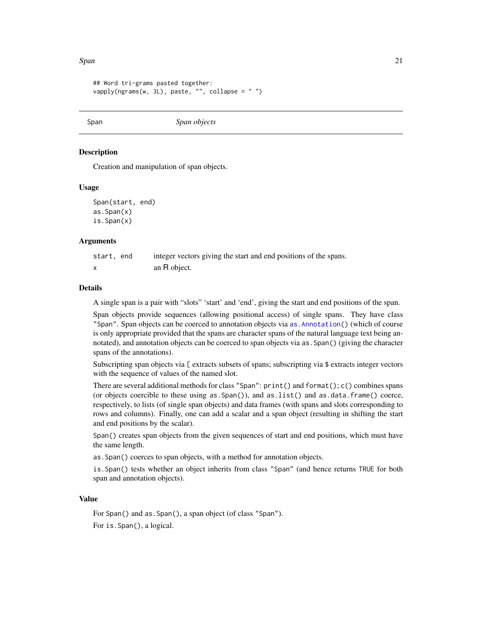<span id="page-20-0"></span>Span 21

```
## Word tri-grams pasted together:
vapply(ngrams(w, 3L), paste, "", collapse = " ")
```
<span id="page-20-1"></span>Span *Span objects*

#### <span id="page-20-2"></span>Description

Creation and manipulation of span objects.

#### Usage

Span(start, end) as.Span(x) is.Span(x)

#### Arguments

| start, end | integer vectors giving the start and end positions of the spans. |
|------------|------------------------------------------------------------------|
|            | an R object.                                                     |

#### **Details**

A single span is a pair with "slots" 'start' and 'end', giving the start and end positions of the span.

Span objects provide sequences (allowing positional access) of single spans. They have class "Span". Span objects can be coerced to annotation objects via [as.Annotation\(](#page-4-2)) (which of course is only appropriate provided that the spans are character spans of the natural language text being annotated), and annotation objects can be coerced to span objects via as.Span() (giving the character spans of the annotations).

Subscripting span objects via [ extracts subsets of spans; subscripting via \$ extracts integer vectors with the sequence of values of the named slot.

There are several additional methods for class "Span":  $print()$  and  $format()$ ;  $c()$  combines spans (or objects coercible to these using as.Span()), and as.list() and as.data.frame() coerce, respectively, to lists (of single span objects) and data frames (with spans and slots corresponding to rows and columns). Finally, one can add a scalar and a span object (resulting in shifting the start and end positions by the scalar).

Span() creates span objects from the given sequences of start and end positions, which must have the same length.

as.Span() coerces to span objects, with a method for annotation objects.

is.Span() tests whether an object inherits from class "Span" (and hence returns TRUE for both span and annotation objects).

#### Value

For Span() and as.Span(), a span object (of class "Span"). For is.Span(), a logical.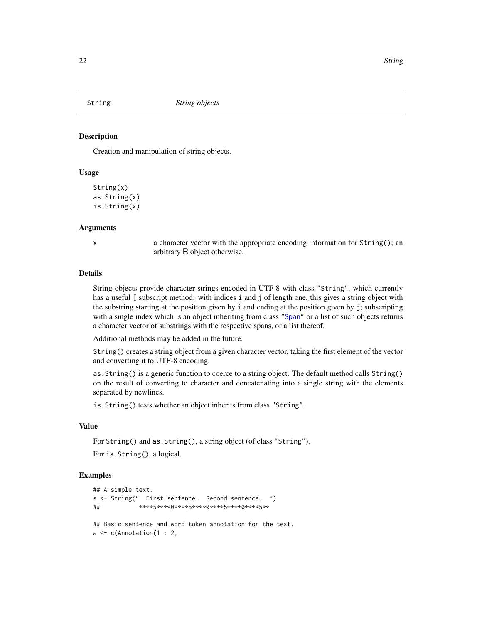<span id="page-21-1"></span><span id="page-21-0"></span>

#### <span id="page-21-2"></span>Description

Creation and manipulation of string objects.

#### Usage

```
String(x)
as.String(x)
is.String(x)
```
#### Arguments

x a character vector with the appropriate encoding information for String(); an arbitrary R object otherwise.

#### Details

String objects provide character strings encoded in UTF-8 with class "String", which currently has a useful [ subscript method: with indices i and j of length one, this gives a string object with the substring starting at the position given by i and ending at the position given by j; subscripting with a single index which is an object inheriting from class ["Span"](#page-20-1) or a list of such objects returns a character vector of substrings with the respective spans, or a list thereof.

Additional methods may be added in the future.

String() creates a string object from a given character vector, taking the first element of the vector and converting it to UTF-8 encoding.

as.String() is a generic function to coerce to a string object. The default method calls String() on the result of converting to character and concatenating into a single string with the elements separated by newlines.

is.String() tests whether an object inherits from class "String".

#### Value

For String() and as.String(), a string object (of class "String"). For is.String(), a logical.

```
## A simple text.
s <- String(" First sentence. Second sentence. ")
## ****5****0****5****0****5****0****5**
## Basic sentence and word token annotation for the text.
a \leftarrow c(Annotation(1 : 2,
```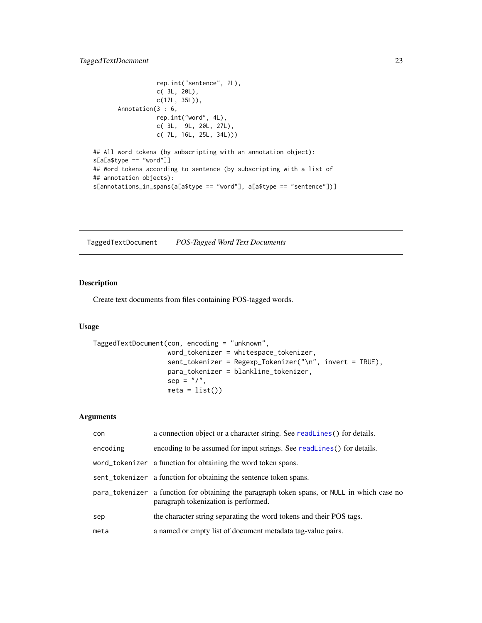```
rep.int("sentence", 2L),
                  c( 3L, 20L),
                 c(17L, 35L)),
      Annotation(3 : 6,
                 rep.int("word", 4L),
                 c( 3L, 9L, 20L, 27L),
                 c( 7L, 16L, 25L, 34L)))
## All word tokens (by subscripting with an annotation object):
s[a[a$type == "word"]]
## Word tokens according to sentence (by subscripting with a list of
## annotation objects):
```
s[annotations\_in\_spans(a[a\$type == "word"], a[a\$type == "sentence"])]

<span id="page-22-1"></span>TaggedTextDocument *POS-Tagged Word Text Documents*

#### Description

Create text documents from files containing POS-tagged words.

#### Usage

```
TaggedTextDocument(con, encoding = "unknown",
                   word_tokenizer = whitespace_tokenizer,
                   sent_tokenizer = Regexp_Tokenizer("\n", invert = TRUE),
                   para_tokenizer = blankline_tokenizer,
                   sep = ''/".meta = list()
```
#### Arguments

| con      | a connection object or a character string. See readlines () for details.                                                            |
|----------|-------------------------------------------------------------------------------------------------------------------------------------|
| encoding | encoding to be assumed for input strings. See readLines() for details.                                                              |
|          | word_tokenizer a function for obtaining the word token spans.                                                                       |
|          | sent_tokenizer a function for obtaining the sentence token spans.                                                                   |
|          | para_tokenizer a function for obtaining the paragraph token spans, or NULL in which case no<br>paragraph tokenization is performed. |
| sep      | the character string separating the word tokens and their POS tags.                                                                 |
| meta     | a named or empty list of document metadata tag-value pairs.                                                                         |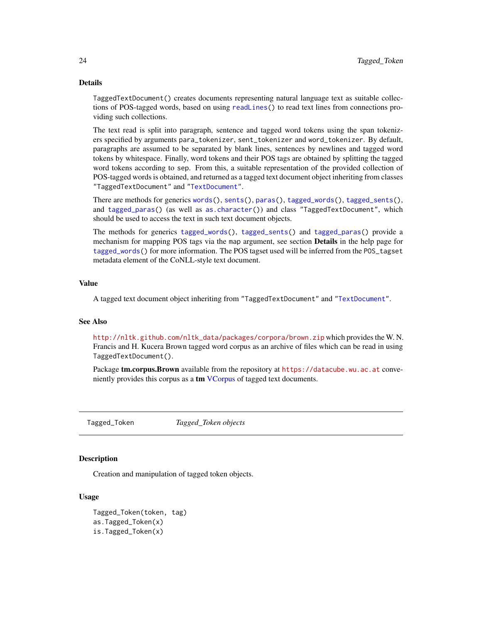#### <span id="page-23-0"></span>Details

TaggedTextDocument() creates documents representing natural language text as suitable collections of POS-tagged words, based on using [readLines\(](#page-0-0)) to read text lines from connections providing such collections.

The text read is split into paragraph, sentence and tagged word tokens using the span tokenizers specified by arguments para\_tokenizer, sent\_tokenizer and word\_tokenizer. By default, paragraphs are assumed to be separated by blank lines, sentences by newlines and tagged word tokens by whitespace. Finally, word tokens and their POS tags are obtained by splitting the tagged word tokens according to sep. From this, a suitable representation of the provided collection of POS-tagged words is obtained, and returned as a tagged text document object inheriting from classes "TaggedTextDocument" and ["TextDocument"](#page-25-1).

There are methods for generics [words\(](#page-31-1)), [sents\(](#page-31-1)), [paras\(](#page-31-1)), [tagged\\_words\(](#page-31-1)), [tagged\\_sents\(](#page-31-1)), and [tagged\\_paras\(](#page-31-1)) (as well as [as.character\(](#page-0-0))) and class "TaggedTextDocument", which should be used to access the text in such text document objects.

The methods for generics [tagged\\_words\(](#page-31-1)), [tagged\\_sents\(](#page-31-1)) and [tagged\\_paras\(](#page-31-1)) provide a mechanism for mapping POS tags via the map argument, see section **Details** in the help page for [tagged\\_words\(](#page-31-1)) for more information. The POS tagset used will be inferred from the POS\_tagset metadata element of the CoNLL-style text document.

#### Value

A tagged text document object inheriting from "TaggedTextDocument" and ["TextDocument"](#page-25-1).

#### See Also

[http://nltk.github.com/nltk\\_data/packages/corpora/brown.zip](http://nltk.github.com/nltk_data/packages/corpora/brown.zip) which provides the W. N. Francis and H. Kucera Brown tagged word corpus as an archive of files which can be read in using TaggedTextDocument().

Package **tm.corpus.Brown** available from the repository at <https://datacube.wu.ac.at> conve-niently provides this corpus as a tm [VCorpus](#page-0-0) of tagged text documents.

Tagged\_Token *Tagged\_Token objects*

#### Description

Creation and manipulation of tagged token objects.

#### Usage

Tagged\_Token(token, tag) as.Tagged\_Token(x) is.Tagged\_Token(x)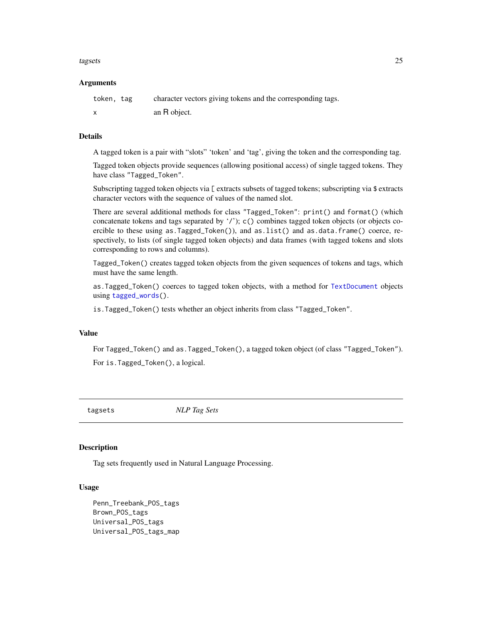#### <span id="page-24-0"></span>tagsets 25

#### **Arguments**

| token, tag                | character vectors giving tokens and the corresponding tags. |
|---------------------------|-------------------------------------------------------------|
| $\boldsymbol{\mathsf{x}}$ | an R object.                                                |

#### Details

A tagged token is a pair with "slots" 'token' and 'tag', giving the token and the corresponding tag.

Tagged token objects provide sequences (allowing positional access) of single tagged tokens. They have class "Tagged\_Token".

Subscripting tagged token objects via [ extracts subsets of tagged tokens; subscripting via \$ extracts character vectors with the sequence of values of the named slot.

There are several additional methods for class "Tagged\_Token": print() and format() (which concatenate tokens and tags separated by '/'); c() combines tagged token objects (or objects coercible to these using as. Tagged\_Token()), and as. list() and as. data. frame() coerce, respectively, to lists (of single tagged token objects) and data frames (with tagged tokens and slots corresponding to rows and columns).

Tagged\_Token() creates tagged token objects from the given sequences of tokens and tags, which must have the same length.

as.Tagged\_Token() coerces to tagged token objects, with a method for [TextDocument](#page-25-1) objects using [tagged\\_words\(](#page-31-1)).

is.Tagged\_Token() tests whether an object inherits from class "Tagged\_Token".

#### Value

For Tagged\_Token() and as.Tagged\_Token(), a tagged token object (of class "Tagged\_Token"). For is.Tagged\_Token(), a logical.

tagsets *NLP Tag Sets*

#### <span id="page-24-1"></span>Description

Tag sets frequently used in Natural Language Processing.

#### Usage

Penn\_Treebank\_POS\_tags Brown\_POS\_tags Universal\_POS\_tags Universal\_POS\_tags\_map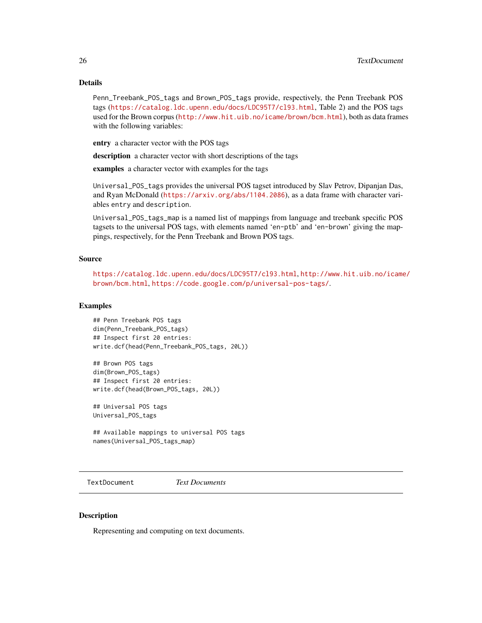#### Details

Penn\_Treebank\_POS\_tags and Brown\_POS\_tags provide, respectively, the Penn Treebank POS tags (<https://catalog.ldc.upenn.edu/docs/LDC95T7/cl93.html>, Table 2) and the POS tags used for the Brown corpus (<http://www.hit.uib.no/icame/brown/bcm.html>), both as data frames with the following variables:

entry a character vector with the POS tags

description a character vector with short descriptions of the tags

examples a character vector with examples for the tags

Universal\_POS\_tags provides the universal POS tagset introduced by Slav Petrov, Dipanjan Das, and Ryan McDonald (<https://arxiv.org/abs/1104.2086>), as a data frame with character variables entry and description.

Universal\_POS\_tags\_map is a named list of mappings from language and treebank specific POS tagsets to the universal POS tags, with elements named 'en-ptb' and 'en-brown' giving the mappings, respectively, for the Penn Treebank and Brown POS tags.

#### Source

<https://catalog.ldc.upenn.edu/docs/LDC95T7/cl93.html>, [http://www.hit.uib.no/icame](http://www.hit.uib.no/icame/brown/bcm.html)/ [brown/bcm.html](http://www.hit.uib.no/icame/brown/bcm.html), <https://code.google.com/p/universal-pos-tags/>.

#### Examples

## Penn Treebank POS tags dim(Penn\_Treebank\_POS\_tags) ## Inspect first 20 entries: write.dcf(head(Penn\_Treebank\_POS\_tags, 20L))

## Brown POS tags dim(Brown\_POS\_tags) ## Inspect first 20 entries: write.dcf(head(Brown\_POS\_tags, 20L))

## Universal POS tags Universal\_POS\_tags

## Available mappings to universal POS tags names(Universal\_POS\_tags\_map)

<span id="page-25-1"></span>TextDocument *Text Documents*

### **Description**

Representing and computing on text documents.

<span id="page-25-0"></span>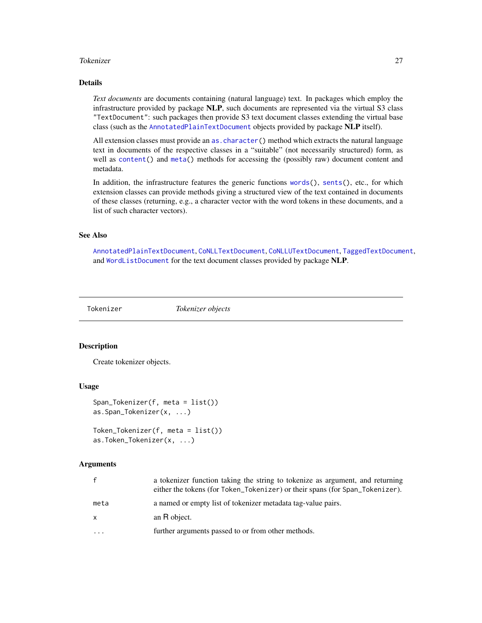#### <span id="page-26-0"></span>Tokenizer 27

#### Details

*Text documents* are documents containing (natural language) text. In packages which employ the infrastructure provided by package NLP, such documents are represented via the virtual S3 class "TextDocument": such packages then provide S3 text document classes extending the virtual base class (such as the [AnnotatedPlainTextDocument](#page-2-1) objects provided by package NLP itself).

All extension classes must provide an [as.character\(](#page-0-0)) method which extracts the natural language text in documents of the respective classes in a "suitable" (not necessarily structured) form, as well as [content\(](#page-17-1)) and [meta\(](#page-17-1)) methods for accessing the (possibly raw) document content and metadata.

In addition, the infrastructure features the generic functions [words\(](#page-31-1)), [sents\(](#page-31-1)), etc., for which extension classes can provide methods giving a structured view of the text contained in documents of these classes (returning, e.g., a character vector with the word tokens in these documents, and a list of such character vectors).

#### See Also

[AnnotatedPlainTextDocument](#page-2-1), [CoNLLTextDocument](#page-12-1), [CoNLLUTextDocument](#page-14-1), [TaggedTextDocument](#page-22-1), and [WordListDocument](#page-33-1) for the text document classes provided by package NLP.

Tokenizer *Tokenizer objects*

#### <span id="page-26-1"></span>**Description**

Create tokenizer objects.

#### Usage

```
Span_Tokenizer(f, meta = list())
as.Span_Tokenizer(x, ...)
```
Token\_Tokenizer(f, meta = list()) as.Token\_Tokenizer(x, ...)

#### Arguments

| f.   | a tokenizer function taking the string to tokenize as argument, and returning<br>either the tokens (for Token_Tokenizer) or their spans (for Span_Tokenizer). |
|------|---------------------------------------------------------------------------------------------------------------------------------------------------------------|
| meta | a named or empty list of tokenizer metadata tag-value pairs.                                                                                                  |
| x    | an R object.                                                                                                                                                  |
| .    | further arguments passed to or from other methods.                                                                                                            |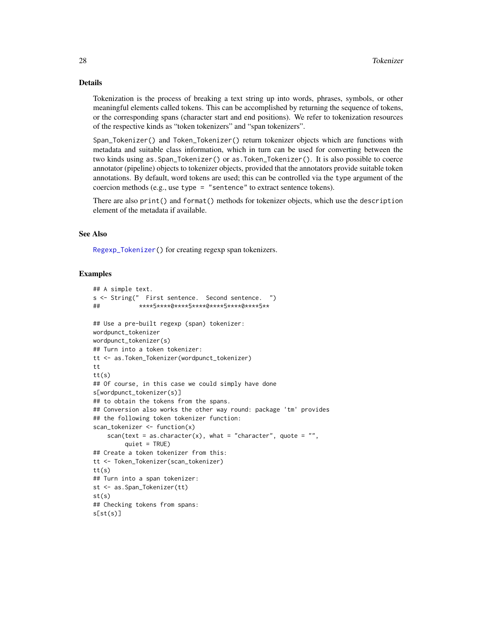#### <span id="page-27-0"></span>Details

Tokenization is the process of breaking a text string up into words, phrases, symbols, or other meaningful elements called tokens. This can be accomplished by returning the sequence of tokens, or the corresponding spans (character start and end positions). We refer to tokenization resources of the respective kinds as "token tokenizers" and "span tokenizers".

Span\_Tokenizer() and Token\_Tokenizer() return tokenizer objects which are functions with metadata and suitable class information, which in turn can be used for converting between the two kinds using as.Span\_Tokenizer() or as.Token\_Tokenizer(). It is also possible to coerce annotator (pipeline) objects to tokenizer objects, provided that the annotators provide suitable token annotations. By default, word tokens are used; this can be controlled via the type argument of the coercion methods (e.g., use type = "sentence" to extract sentence tokens).

There are also print() and format() methods for tokenizer objects, which use the description element of the metadata if available.

#### See Also

[Regexp\\_Tokenizer\(](#page-28-1)) for creating regexp span tokenizers.

```
## A simple text.
s <- String(" First sentence. Second sentence. ")
## ****5****0****5****0****5****0****5**
## Use a pre-built regexp (span) tokenizer:
wordpunct_tokenizer
wordpunct_tokenizer(s)
## Turn into a token tokenizer:
tt <- as.Token_Tokenizer(wordpunct_tokenizer)
tt
tt(s)
## Of course, in this case we could simply have done
s[wordpunct_tokenizer(s)]
## to obtain the tokens from the spans.
## Conversion also works the other way round: package 'tm' provides
## the following token tokenizer function:
scan_tokenizer <- function(x)
    scan(text = as.character(x), what = "character", quote = "",
         quiet = TRUE)
## Create a token tokenizer from this:
tt <- Token_Tokenizer(scan_tokenizer)
tt(s)
## Turn into a span tokenizer:
st <- as.Span_Tokenizer(tt)
st(s)
## Checking tokens from spans:
s[st(s)]
```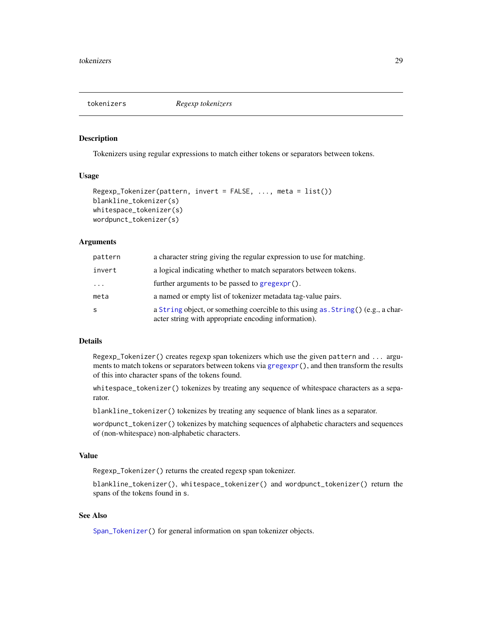<span id="page-28-0"></span>

#### <span id="page-28-1"></span>Description

Tokenizers using regular expressions to match either tokens or separators between tokens.

#### Usage

```
Regexp_Tokenizer(pattern, invert = FALSE, ..., meta = list())
blankline_tokenizer(s)
whitespace_tokenizer(s)
wordpunct_tokenizer(s)
```
#### Arguments

| pattern                 | a character string giving the regular expression to use for matching.                                                                    |
|-------------------------|------------------------------------------------------------------------------------------------------------------------------------------|
| invert                  | a logical indicating whether to match separators between tokens.                                                                         |
| $\cdot$ $\cdot$ $\cdot$ | further arguments to be passed to gregexpr().                                                                                            |
| meta                    | a named or empty list of tokenizer metadata tag-value pairs.                                                                             |
| S                       | a String object, or something coercible to this using as String() (e.g., a char-<br>acter string with appropriate encoding information). |

#### Details

Regexp\_Tokenizer() creates regexp span tokenizers which use the given pattern and ... arguments to match tokens or separators between tokens via [gregexpr\(](#page-0-0)), and then transform the results of this into character spans of the tokens found.

whitespace\_tokenizer() tokenizes by treating any sequence of whitespace characters as a separator.

blankline\_tokenizer() tokenizes by treating any sequence of blank lines as a separator.

wordpunct\_tokenizer() tokenizes by matching sequences of alphabetic characters and sequences of (non-whitespace) non-alphabetic characters.

#### Value

Regexp\_Tokenizer() returns the created regexp span tokenizer.

blankline\_tokenizer(), whitespace\_tokenizer() and wordpunct\_tokenizer() return the spans of the tokens found in s.

### See Also

[Span\\_Tokenizer\(](#page-26-1)) for general information on span tokenizer objects.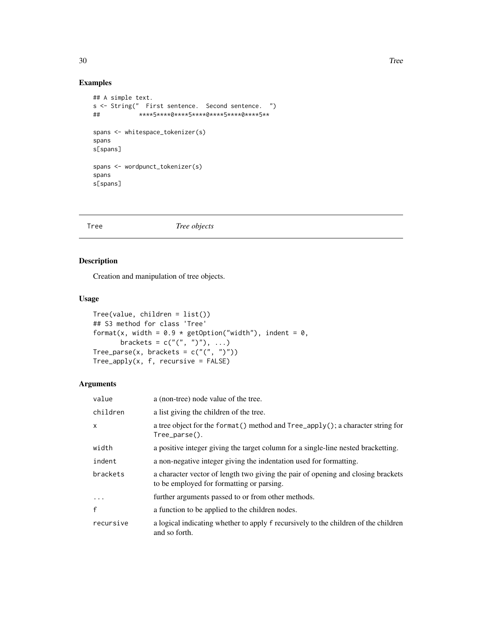#### Examples

```
## A simple text.
s <- String(" First sentence. Second sentence. ")
## ****5****0****5****0****5****0****5**
spans <- whitespace_tokenizer(s)
spans
s[spans]
spans <- wordpunct_tokenizer(s)
spans
s[spans]
```
#### <span id="page-29-1"></span>Tree *Tree objects*

#### Description

Creation and manipulation of tree objects.

#### Usage

```
Tree(value, children = list())
## S3 method for class 'Tree'
format(x, width = 0.9 * getOption("width"), indent = 0,
       brackets = c("("", ")"), ...)
Tree_parse(x, brackets = c("("", ")"))
Tree\_apply(x, f, recursive = FALSE)
```
#### Arguments

| value     | a (non-tree) node value of the tree.                                                                                          |
|-----------|-------------------------------------------------------------------------------------------------------------------------------|
| children  | a list giving the children of the tree.                                                                                       |
| X         | a tree object for the format () method and Tree_apply(); a character string for<br>$Tree\_parse()$ .                          |
| width     | a positive integer giving the target column for a single-line nested bracketting.                                             |
| indent    | a non-negative integer giving the indentation used for formatting.                                                            |
| brackets  | a character vector of length two giving the pair of opening and closing brackets<br>to be employed for formatting or parsing. |
| $\cdot$   | further arguments passed to or from other methods.                                                                            |
| f         | a function to be applied to the children nodes.                                                                               |
| recursive | a logical indicating whether to apply f recursively to the children of the children<br>and so forth.                          |

<span id="page-29-0"></span>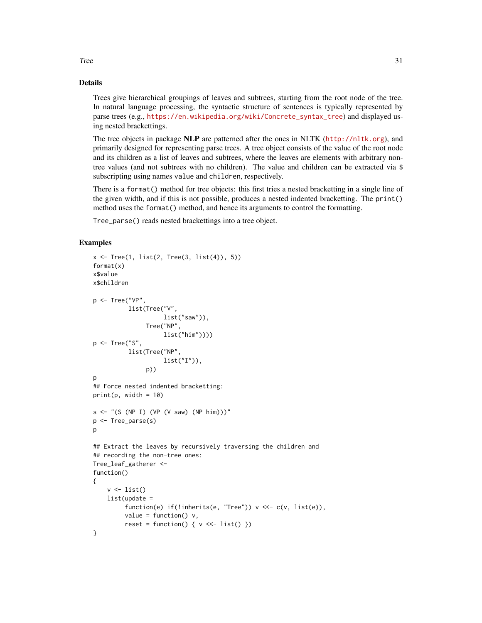## Details

Trees give hierarchical groupings of leaves and subtrees, starting from the root node of the tree. In natural language processing, the syntactic structure of sentences is typically represented by parse trees (e.g., [https://en.wikipedia.org/wiki/Concrete\\_syntax\\_tree](https://en.wikipedia.org/wiki/Concrete_syntax_tree)) and displayed using nested brackettings.

The tree objects in package NLP are patterned after the ones in NLTK (<http://nltk.org>), and primarily designed for representing parse trees. A tree object consists of the value of the root node and its children as a list of leaves and subtrees, where the leaves are elements with arbitrary nontree values (and not subtrees with no children). The value and children can be extracted via \$ subscripting using names value and children, respectively.

There is a format() method for tree objects: this first tries a nested bracketting in a single line of the given width, and if this is not possible, produces a nested indented bracketting. The print() method uses the format() method, and hence its arguments to control the formatting.

Tree\_parse() reads nested brackettings into a tree object.

#### Examples

```
x \le Tree(1, list(2, Tree(3, list(4)), 5))
format(x)
x$value
x$children
p <- Tree("VP",
          list(Tree("V",
                    list("saw")),
               Tree("NP",
                    list("him"))))
p <- Tree("S",
          list(Tree("NP",
                     list("I")),
               p))
p
## Force nested indented bracketting:
print(p, width = 10)s \leftarrow "(S (NP I) (VP (V saw) (NP him)))"
p <- Tree_parse(s)
p
## Extract the leaves by recursively traversing the children and
## recording the non-tree ones:
Tree_leaf_gatherer <-
function()
{
    v \leftarrow list()list(update =function(e) if(!inherits(e, "Tree")) v <<- c(v, list(e)),
         value = function() v,reset = function() { v \ll - list() })
}
```
 $Tree$  31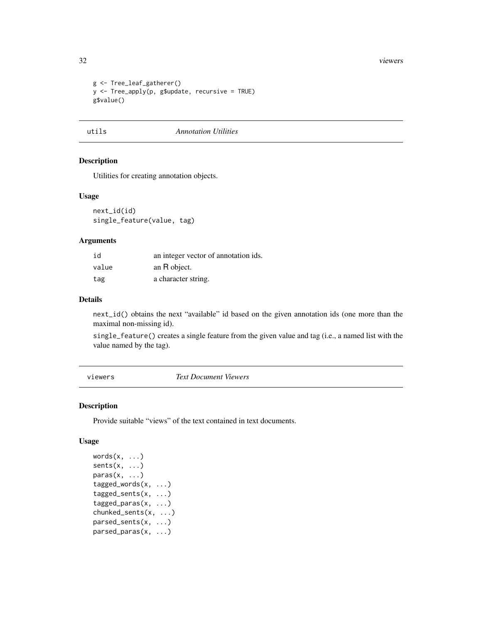#### 32 viewers

```
g <- Tree_leaf_gatherer()
y <- Tree_apply(p, g$update, recursive = TRUE)
g$value()
```
### utils *Annotation Utilities*

#### Description

Utilities for creating annotation objects.

#### Usage

next\_id(id) single\_feature(value, tag)

#### Arguments

| id    | an integer vector of annotation ids. |
|-------|--------------------------------------|
| value | an R object.                         |
| tag   | a character string.                  |

#### Details

next\_id() obtains the next "available" id based on the given annotation ids (one more than the maximal non-missing id).

single\_feature() creates a single feature from the given value and tag (i.e., a named list with the value named by the tag).

viewers *Text Document Viewers*

#### <span id="page-31-1"></span>Description

Provide suitable "views" of the text contained in text documents.

#### Usage

```
words(x, ...)sents(x, \ldots)paras(x, \ldots)tagged_words(x, ...)
tagged_sents(x, ...)
tagged_paras(x, ...)
chunked_sents(x, ...)
parsed_sents(x, ...)
parsed_paras(x, ...)
```
<span id="page-31-0"></span>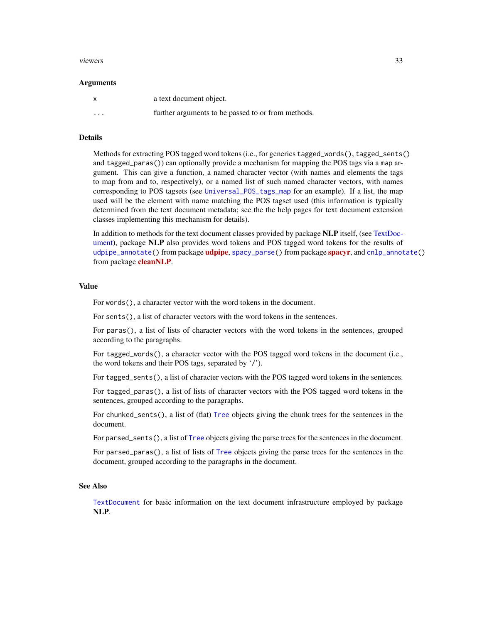#### <span id="page-32-0"></span>viewers 33

#### Arguments

| $\mathsf{x}$ | a text document object.                            |
|--------------|----------------------------------------------------|
| $\cdots$     | further arguments to be passed to or from methods. |

#### Details

Methods for extracting POS tagged word tokens (i.e., for generics tagged\_words(), tagged\_sents() and tagged\_paras()) can optionally provide a mechanism for mapping the POS tags via a map argument. This can give a function, a named character vector (with names and elements the tags to map from and to, respectively), or a named list of such named character vectors, with names corresponding to POS tagsets (see [Universal\\_POS\\_tags\\_map](#page-24-1) for an example). If a list, the map used will be the element with name matching the POS tagset used (this information is typically determined from the text document metadata; see the the help pages for text document extension classes implementing this mechanism for details).

In addition to methods for the text document classes provided by package NLP itself, (see [TextDoc](#page-25-1)[ument\)](#page-25-1), package NLP also provides word tokens and POS tagged word tokens for the results of [udpipe\\_annotate\(](#page-0-0)) from package **[udpipe](https://CRAN.R-project.org/package=udpipe)**, [spacy\\_parse\(](#page-0-0)) from package [spacyr](https://CRAN.R-project.org/package=spacyr), and [cnlp\\_annotate\(](#page-0-0)) from package **[cleanNLP](https://CRAN.R-project.org/package=cleanNLP)**.

#### Value

For words(), a character vector with the word tokens in the document.

For sents(), a list of character vectors with the word tokens in the sentences.

For paras(), a list of lists of character vectors with the word tokens in the sentences, grouped according to the paragraphs.

For tagged\_words(), a character vector with the POS tagged word tokens in the document (i.e., the word tokens and their POS tags, separated by '/').

For tagged\_sents(), a list of character vectors with the POS tagged word tokens in the sentences.

For tagged\_paras(), a list of lists of character vectors with the POS tagged word tokens in the sentences, grouped according to the paragraphs.

For chunked\_sents(), a list of (flat) [Tree](#page-29-1) objects giving the chunk trees for the sentences in the document.

For parsed\_sents(), a list of [Tree](#page-29-1) objects giving the parse trees for the sentences in the document.

For parsed\_paras(), a list of lists of [Tree](#page-29-1) objects giving the parse trees for the sentences in the document, grouped according to the paragraphs in the document.

#### See Also

[TextDocument](#page-25-1) for basic information on the text document infrastructure employed by package NLP.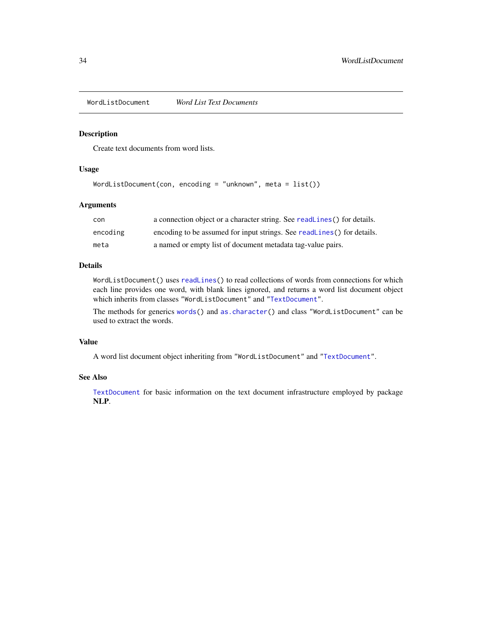<span id="page-33-1"></span><span id="page-33-0"></span>WordListDocument *Word List Text Documents*

#### Description

Create text documents from word lists.

#### Usage

```
WordListDocument(con, encoding = "unknown", meta = list())
```
#### Arguments

| con      | a connection object or a character string. See readLines () for details. |
|----------|--------------------------------------------------------------------------|
| encoding | encoding to be assumed for input strings. See readLines() for details.   |
| meta     | a named or empty list of document metadata tag-value pairs.              |

#### Details

WordListDocument() uses [readLines\(](#page-0-0)) to read collections of words from connections for which each line provides one word, with blank lines ignored, and returns a word list document object which inherits from classes "WordListDocument" and ["TextDocument"](#page-25-1).

The methods for generics [words\(](#page-31-1)) and [as.character\(](#page-0-0)) and class "WordListDocument" can be used to extract the words.

#### Value

A word list document object inheriting from "WordListDocument" and ["TextDocument"](#page-25-1).

#### See Also

[TextDocument](#page-25-1) for basic information on the text document infrastructure employed by package NLP.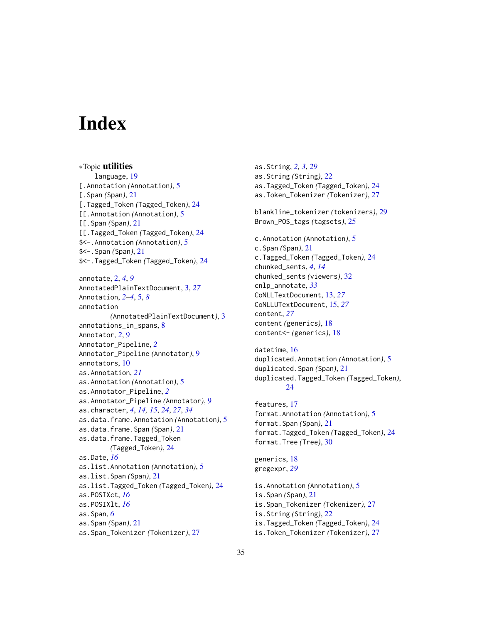# <span id="page-34-0"></span>**Index**

∗Topic utilities language, [19](#page-18-0) [.Annotation *(*Annotation*)*, [5](#page-4-0) [.Span *(*Span*)*, [21](#page-20-0) [.Tagged\_Token *(*Tagged\_Token*)*, [24](#page-23-0) [[.Annotation *(*Annotation*)*, [5](#page-4-0) [[.Span *(*Span*)*, [21](#page-20-0) [[.Tagged\_Token *(*Tagged\_Token*)*, [24](#page-23-0) \$<-.Annotation *(*Annotation*)*, [5](#page-4-0) \$<-.Span *(*Span*)*, [21](#page-20-0) \$<-.Tagged\_Token *(*Tagged\_Token*)*, [24](#page-23-0) annotate, [2,](#page-1-0) *[4](#page-3-0)*, *[9](#page-8-0)* AnnotatedPlainTextDocument, [3,](#page-2-0) *[27](#page-26-0)* Annotation, *[2](#page-1-0)[–4](#page-3-0)*, [5,](#page-4-0) *[8](#page-7-0)* annotation *(*AnnotatedPlainTextDocument*)*, [3](#page-2-0) annotations\_in\_spans, [8](#page-7-0) Annotator, *[2](#page-1-0)*, [9](#page-8-0) Annotator\_Pipeline, *[2](#page-1-0)* Annotator\_Pipeline *(*Annotator*)*, [9](#page-8-0) annotators, [10](#page-9-0) as.Annotation, *[21](#page-20-0)* as.Annotation *(*Annotation*)*, [5](#page-4-0) as.Annotator\_Pipeline, *[2](#page-1-0)* as.Annotator\_Pipeline *(*Annotator*)*, [9](#page-8-0) as.character, *[4](#page-3-0)*, *[14,](#page-13-0) [15](#page-14-0)*, *[24](#page-23-0)*, *[27](#page-26-0)*, *[34](#page-33-0)* as.data.frame.Annotation *(*Annotation*)*, [5](#page-4-0) as.data.frame.Span *(*Span*)*, [21](#page-20-0) as.data.frame.Tagged\_Token *(*Tagged\_Token*)*, [24](#page-23-0) as.Date, *[16](#page-15-0)* as.list.Annotation *(*Annotation*)*, [5](#page-4-0) as.list.Span *(*Span*)*, [21](#page-20-0) as.list.Tagged\_Token *(*Tagged\_Token*)*, [24](#page-23-0) as.POSIXct, *[16](#page-15-0)* as.POSIXlt, *[16](#page-15-0)* as.Span, *[6](#page-5-0)* as.Span *(*Span*)*, [21](#page-20-0) as.Span\_Tokenizer *(*Tokenizer*)*, [27](#page-26-0)

as.String, *[2,](#page-1-0) [3](#page-2-0)*, *[29](#page-28-0)* as.String *(*String*)*, [22](#page-21-0) as.Tagged\_Token *(*Tagged\_Token*)*, [24](#page-23-0) as.Token\_Tokenizer *(*Tokenizer*)*, [27](#page-26-0) blankline\_tokenizer *(*tokenizers*)*, [29](#page-28-0) Brown\_POS\_tags *(*tagsets*)*, [25](#page-24-0) c.Annotation *(*Annotation*)*, [5](#page-4-0) c.Span *(*Span*)*, [21](#page-20-0) c.Tagged\_Token *(*Tagged\_Token*)*, [24](#page-23-0) chunked\_sents, *[4](#page-3-0)*, *[14](#page-13-0)* chunked\_sents *(*viewers*)*, [32](#page-31-0) cnlp\_annotate, *[33](#page-32-0)* CoNLLTextDocument, [13,](#page-12-0) *[27](#page-26-0)* CoNLLUTextDocument, [15,](#page-14-0) *[27](#page-26-0)* content, *[27](#page-26-0)* content *(*generics*)*, [18](#page-17-0) content<- *(*generics*)*, [18](#page-17-0) datetime, [16](#page-15-0) duplicated.Annotation *(*Annotation*)*, [5](#page-4-0) duplicated.Span *(*Span*)*, [21](#page-20-0) duplicated.Tagged\_Token *(*Tagged\_Token*)*, [24](#page-23-0) features, [17](#page-16-0) format.Annotation *(*Annotation*)*, [5](#page-4-0) format.Span *(*Span*)*, [21](#page-20-0) format.Tagged\_Token *(*Tagged\_Token*)*, [24](#page-23-0) format.Tree *(*Tree*)*, [30](#page-29-0) generics, [18](#page-17-0) gregexpr, *[29](#page-28-0)* is.Annotation *(*Annotation*)*, [5](#page-4-0) is.Span *(*Span*)*, [21](#page-20-0) is.Span\_Tokenizer *(*Tokenizer*)*, [27](#page-26-0) is.String *(*String*)*, [22](#page-21-0) is.Tagged\_Token *(*Tagged\_Token*)*, [24](#page-23-0) is.Token\_Tokenizer *(*Tokenizer*)*, [27](#page-26-0)